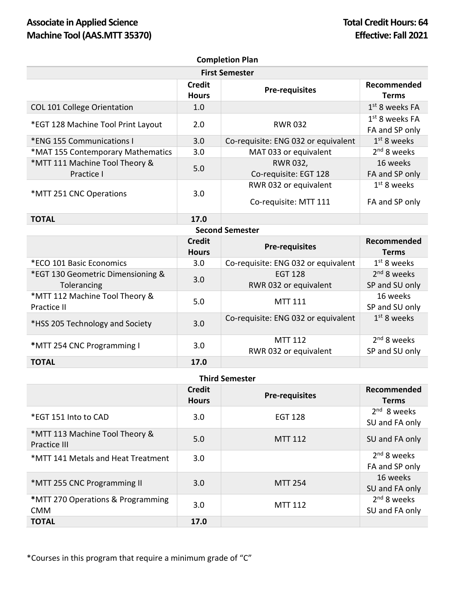## Associate in Applied Science **Total Credit Hours: 64 Machine Tool (AAS.MTT 35370) Effective: Fall 2021**

| <b>Completion Plan</b>                           |                               |                                                |                                           |  |  |  |
|--------------------------------------------------|-------------------------------|------------------------------------------------|-------------------------------------------|--|--|--|
| <b>First Semester</b>                            |                               |                                                |                                           |  |  |  |
|                                                  | <b>Credit</b><br><b>Hours</b> | <b>Pre-requisites</b>                          | Recommended<br><b>Terms</b>               |  |  |  |
| <b>COL 101 College Orientation</b>               | 1.0                           |                                                | $1st$ 8 weeks FA                          |  |  |  |
| *EGT 128 Machine Tool Print Layout               | 2.0                           | <b>RWR032</b>                                  | $1st$ 8 weeks FA<br>FA and SP only        |  |  |  |
| *ENG 155 Communications I                        | 3.0                           | Co-requisite: ENG 032 or equivalent            | $1st$ 8 weeks                             |  |  |  |
| *MAT 155 Contemporary Mathematics                | 3.0                           | MAT 033 or equivalent                          | 2 <sup>nd</sup> 8 weeks                   |  |  |  |
| *MTT 111 Machine Tool Theory &<br>Practice I     | 5.0                           | RWR 032,<br>Co-requisite: EGT 128              | 16 weeks<br>FA and SP only                |  |  |  |
| *MTT 251 CNC Operations                          | 3.0                           | RWR 032 or equivalent<br>Co-requisite: MTT 111 | $1st$ 8 weeks<br>FA and SP only           |  |  |  |
| <b>TOTAL</b>                                     | 17.0                          |                                                |                                           |  |  |  |
| <b>Second Semester</b>                           |                               |                                                |                                           |  |  |  |
|                                                  | <b>Credit</b><br><b>Hours</b> | <b>Pre-requisites</b>                          | Recommended<br><b>Terms</b>               |  |  |  |
| *ECO 101 Basic Economics                         | 3.0                           | Co-requisite: ENG 032 or equivalent            | $1st$ 8 weeks                             |  |  |  |
| *EGT 130 Geometric Dimensioning &<br>Tolerancing | 3.0                           | <b>EGT 128</b><br>RWR 032 or equivalent        | $2nd$ 8 weeks<br>SP and SU only           |  |  |  |
| *MTT 112 Machine Tool Theory &<br>Practice II    | 5.0                           | <b>MTT 111</b>                                 | 16 weeks<br>SP and SU only                |  |  |  |
| *HSS 205 Technology and Society                  | 3.0                           | Co-requisite: ENG 032 or equivalent            | $1st$ 8 weeks                             |  |  |  |
| *MTT 254 CNC Programming I                       | 3.0                           | <b>MTT 112</b><br>RWR 032 or equivalent        | 2 <sup>nd</sup> 8 weeks<br>SP and SU only |  |  |  |
| <b>TOTAL</b>                                     | 17.0                          |                                                |                                           |  |  |  |

## **Third Semester**

|                                                 | <b>Credit</b><br><b>Hours</b> | <b>Pre-requisites</b> | Recommended<br><b>Terms</b>     |  |  |
|-------------------------------------------------|-------------------------------|-----------------------|---------------------------------|--|--|
| *EGT 151 Into to CAD                            | 3.0                           | <b>EGT 128</b>        | $2nd$ 8 weeks<br>SU and FA only |  |  |
| *MTT 113 Machine Tool Theory &<br>Practice III  | 5.0                           | <b>MTT 112</b>        | SU and FA only                  |  |  |
| *MTT 141 Metals and Heat Treatment              | 3.0                           |                       | $2nd$ 8 weeks<br>FA and SP only |  |  |
| *MTT 255 CNC Programming II                     | 3.0                           | <b>MTT 254</b>        | 16 weeks<br>SU and FA only      |  |  |
| *MTT 270 Operations & Programming<br><b>CMM</b> | 3.0                           | <b>MTT 112</b>        | $2nd$ 8 weeks<br>SU and FA only |  |  |
| <b>TOTAL</b>                                    | 17.0                          |                       |                                 |  |  |

\*Courses in this program that require a minimum grade of "C"